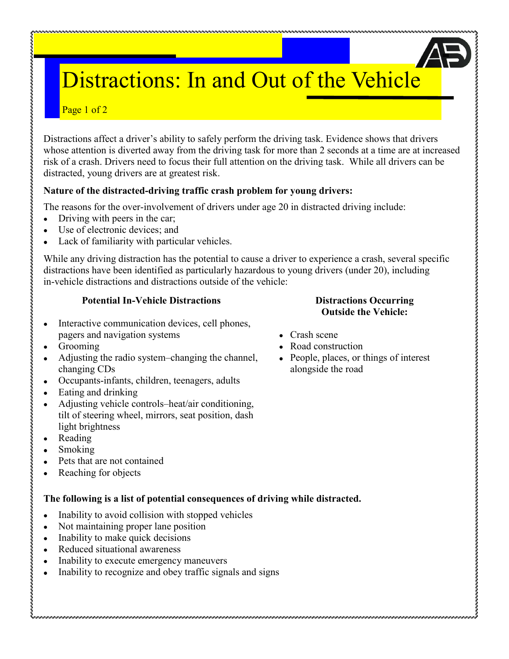# Distractions: In and Out of the Vehicle

## Page 1 of 2

Distractions affect a driver's ability to safely perform the driving task. Evidence shows that drivers whose attention is diverted away from the driving task for more than 2 seconds at a time are at increased risk of a crash. Drivers need to focus their full attention on the driving task. While all drivers can be distracted, young drivers are at greatest risk.

### **Nature of the distracted-driving traffic crash problem for young drivers:**

The reasons for the over-involvement of drivers under age 20 in distracted driving include:

- Driving with peers in the car;
- Use of electronic devices; and
- Lack of familiarity with particular vehicles.

While any driving distraction has the potential to cause a driver to experience a crash, several specific distractions have been identified as particularly hazardous to young drivers (under 20), including in-vehicle distractions and distractions outside of the vehicle:

#### **Potential In-Vehicle Distractions**

- Interactive communication devices, cell phones,  $\bullet$ pagers and navigation systems
- Grooming
- Adjusting the radio system–changing the channel, changing CDs
- Occupants-infants, children, teenagers, adults  $\bullet$
- Eating and drinking
- Adjusting vehicle controls–heat/air conditioning, tilt of steering wheel, mirrors, seat position, dash light brightness
- Reading

しょうきょう きょうきょう きょうきょう きょうきょう きょうきょう

- Smoking
- Pets that are not contained
- Reaching for objects  $\bullet$

#### **The following is a list of potential consequences of driving while distracted.**

- Inability to avoid collision with stopped vehicles  $\bullet$
- Not maintaining proper lane position
- Inability to make quick decisions
- Reduced situational awareness  $\bullet$
- Inability to execute emergency maneuvers
- Inability to recognize and obey traffic signals and signs

#### **Distractions Occurring Outside the Vehicle:**

• Crash scene

- Road construction
- People, places, or things of interest alongside the road